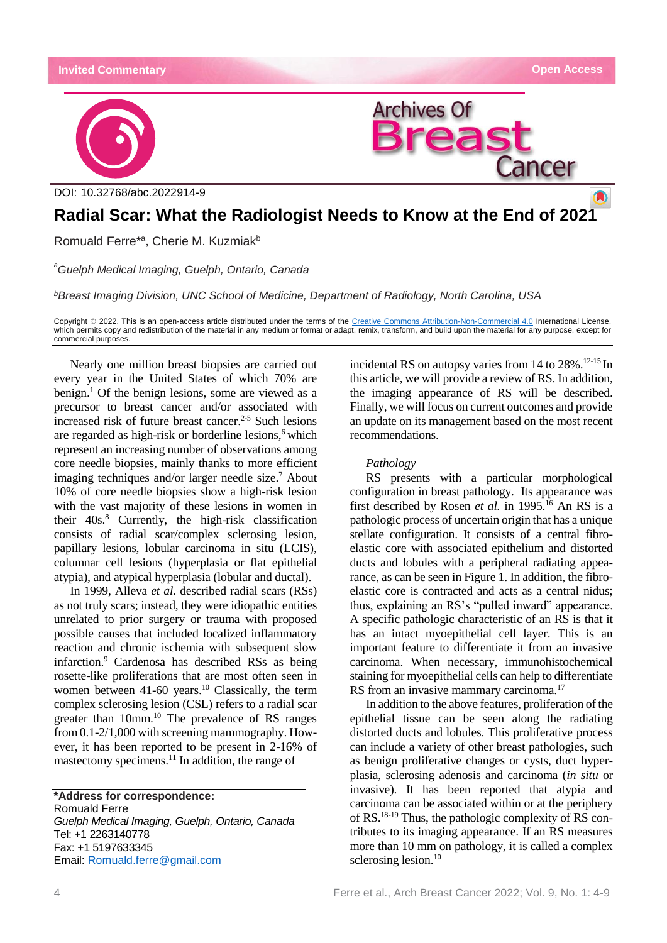

# **Radial Scar: What the Radiologist Needs to Know at the End of 202[1](https://crossmark.crossref.org/dialog/?doi=10.32768/abc.202184265-267=pdf)**

Romuald Ferre<sup>\*a</sup>, Cherie M. Kuzmiak<sup>b</sup>

*<sup>a</sup>Guelph Medical Imaging, Guelph, Ontario, Canada*

*<sup>b</sup>Breast Imaging Division, UNC School of Medicine, Department of Radiology, North Carolina, USA*

Copyright © 2022. This is an open-access article distributed under the terms of the [Creative Commons Attribution-Non-Commercial 4.0](https://creativecommons.org/licenses/by-nc/4.0/) International License, which permits copy and redistribution of the material in any medium or format or adapt, remix, transform, and build upon the material for any purpose, except for commercial purposes.

Nearly one million breast biopsies are carried out every year in the United States of which 70% are  $b$ enign.<sup>1</sup> Of the benign lesions, some are viewed as a precursor to breast cancer and/or associated with increased risk of future breast cancer.<sup>2-5</sup> Such lesions are regarded as high-risk or borderline lesions,<sup>6</sup> which represent an increasing number of observations among core needle biopsies, mainly thanks to more efficient imaging techniques and/or larger needle size.<sup>7</sup> About 10% of core needle biopsies show a high-risk lesion with the vast majority of these lesions in women in their 40s.<sup>8</sup> Currently, the high-risk classification consists of radial scar/complex sclerosing lesion, papillary lesions, lobular carcinoma in situ (LCIS), columnar cell lesions (hyperplasia or flat epithelial atypia), and atypical hyperplasia (lobular and ductal).

In 1999, Alleva *et al.* described radial scars (RSs) as not truly scars; instead, they were idiopathic entities unrelated to prior surgery or trauma with proposed possible causes that included localized inflammatory reaction and chronic ischemia with subsequent slow infarction.<sup>9</sup> Cardenosa has described RSs as being rosette-like proliferations that are most often seen in women between 41-60 years.<sup>10</sup> Classically, the term complex sclerosing lesion (CSL) refers to a radial scar greater than 10mm.<sup>10</sup> The prevalence of RS ranges from 0.1-2/1,000 with screening mammography. However, it has been reported to be present in 2-16% of mastectomy specimens.<sup>11</sup> In addition, the range of

**\*Address for correspondence:** Romuald Ferre *Guelph Medical Imaging, Guelph, Ontario, Canada* Tel: +1 2263140778 Fax: +1 5197633345 Email: [Romuald.ferre@gmail.com](mailto:Romuald.ferre@gmail.com)

incidental RS on autopsy varies from 14 to 28%.12-15 In this article, we will provide a review of RS. In addition, the imaging appearance of RS will be described. Finally, we will focus on current outcomes and provide an update on its management based on the most recent recommendations.

### *Pathology*

RS presents with a particular morphological configuration in breast pathology. Its appearance was first described by Rosen *et al.* in 1995.<sup>16</sup> An RS is a pathologic process of uncertain origin that has a unique stellate configuration. It consists of a central fibroelastic core with associated epithelium and distorted ducts and lobules with a peripheral radiating appearance, as can be seen in Figure 1. In addition, the fibroelastic core is contracted and acts as a central nidus; thus, explaining an RS's "pulled inward" appearance. A specific pathologic characteristic of an RS is that it has an intact myoepithelial cell layer. This is an important feature to differentiate it from an invasive carcinoma. When necessary, immunohistochemical staining for myoepithelial cells can help to differentiate RS from an invasive mammary carcinoma.<sup>17</sup>

In addition to the above features, proliferation of the epithelial tissue can be seen along the radiating distorted ducts and lobules. This proliferative process can include a variety of other breast pathologies, such as benign proliferative changes or cysts, duct hyperplasia, sclerosing adenosis and carcinoma (*in situ* or invasive). It has been reported that atypia and carcinoma can be associated within or at the periphery of RS.18-19 Thus, the pathologic complexity of RS contributes to its imaging appearance. If an RS measures more than 10 mm on pathology, it is called a complex sclerosing lesion.<sup>10</sup>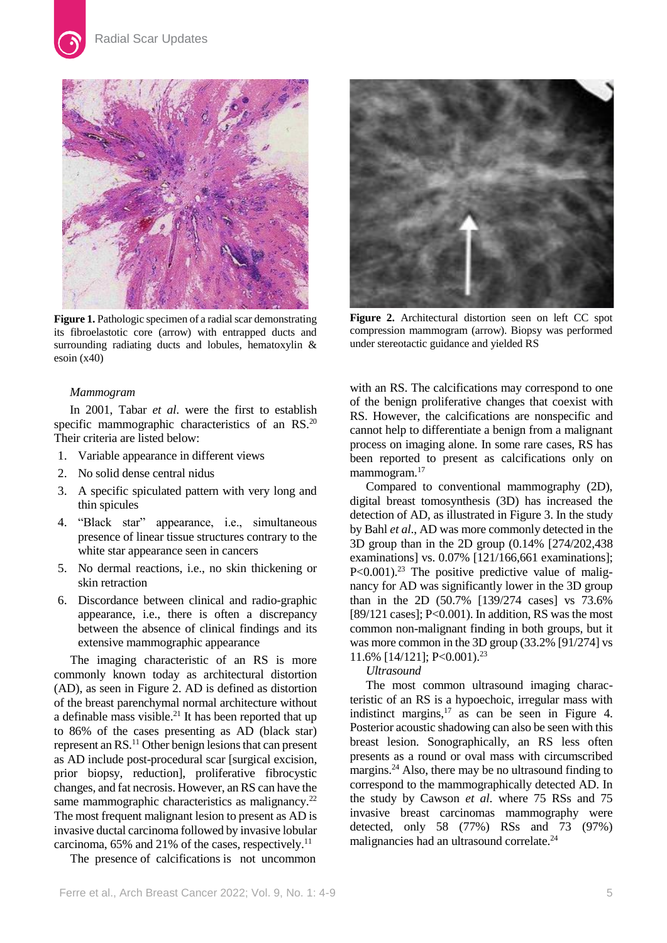

**Figure 1.** Pathologic specimen of a radial scar demonstrating its fibroelastotic core (arrow) with entrapped ducts and surrounding radiating ducts and lobules, hematoxylin & esoin (x40)

# *Mammogram*

In 2001, Tabar *et al*. were the first to establish specific mammographic characteristics of an RS.<sup>20</sup> Their criteria are listed below:

- 1. Variable appearance in different views
- 2. No solid dense central nidus
- 3. A specific spiculated pattern with very long and thin spicules
- 4. "Black star" appearance, i.e., simultaneous presence of linear tissue structures contrary to the white star appearance seen in cancers
- 5. No dermal reactions, i.e., no skin thickening or skin retraction
- 6. Discordance between clinical and radio-graphic appearance, i.e., there is often a discrepancy between the absence of clinical findings and its extensive mammographic appearance

The imaging characteristic of an RS is more commonly known today as architectural distortion (AD), as seen in Figure 2. AD is defined as distortion of the breast parenchymal normal architecture without a definable mass visible.<sup>21</sup> It has been reported that up to 86% of the cases presenting as AD (black star) represent an RS.<sup>11</sup> Other benign lesions that can present as AD include post-procedural scar [surgical excision, prior biopsy, reduction], proliferative fibrocystic changes, and fat necrosis. However, an RS can have the same mammographic characteristics as malignancy.<sup>22</sup> The most frequent malignant lesion to present as AD is invasive ductal carcinoma followed by invasive lobular carcinoma, 65% and 21% of the cases, respectively.<sup>11</sup>

The presence of calcifications is not uncommon



**Figure 2.** Architectural distortion seen on left CC spot compression mammogram (arrow). Biopsy was performed under stereotactic guidance and yielded RS

with an RS. The calcifications may correspond to one of the benign proliferative changes that coexist with RS. However, the calcifications are nonspecific and cannot help to differentiate a benign from a malignant process on imaging alone. In some rare cases, RS has been reported to present as calcifications only on mammogram.<sup>17</sup>

Compared to conventional mammography (2D), digital breast tomosynthesis (3D) has increased the detection of AD, as illustrated in Figure 3. In the study by Bahl *et al*., AD was more commonly detected in the 3D group than in the 2D group (0.14% [274/202,438 examinations] vs. 0.07% [121/166,661 examinations];  $P<0.001$ ).<sup>23</sup> The positive predictive value of malignancy for AD was significantly lower in the 3D group than in the 2D (50.7% [139/274 cases] vs 73.6% [89/121 cases]; P<0.001). In addition, RS was the most common non-malignant finding in both groups, but it was more common in the 3D group (33.2% [91/274] vs 11.6% [14/121]; P<0.001). 23

#### *Ultrasound*

The most common ultrasound imaging characteristic of an RS is a hypoechoic, irregular mass with indistinct margins, <sup>17</sup> as can be seen in Figure 4. Posterior acoustic shadowing can also be seen with this breast lesion. Sonographically, an RS less often presents as a round or oval mass with circumscribed margins.<sup>24</sup> Also, there may be no ultrasound finding to correspond to the mammographically detected AD. In the study by Cawson *et al*. where 75 RSs and 75 invasive breast carcinomas mammography were detected, only 58 (77%) RSs and 73 (97%) malignancies had an ultrasound correlate.<sup>24</sup>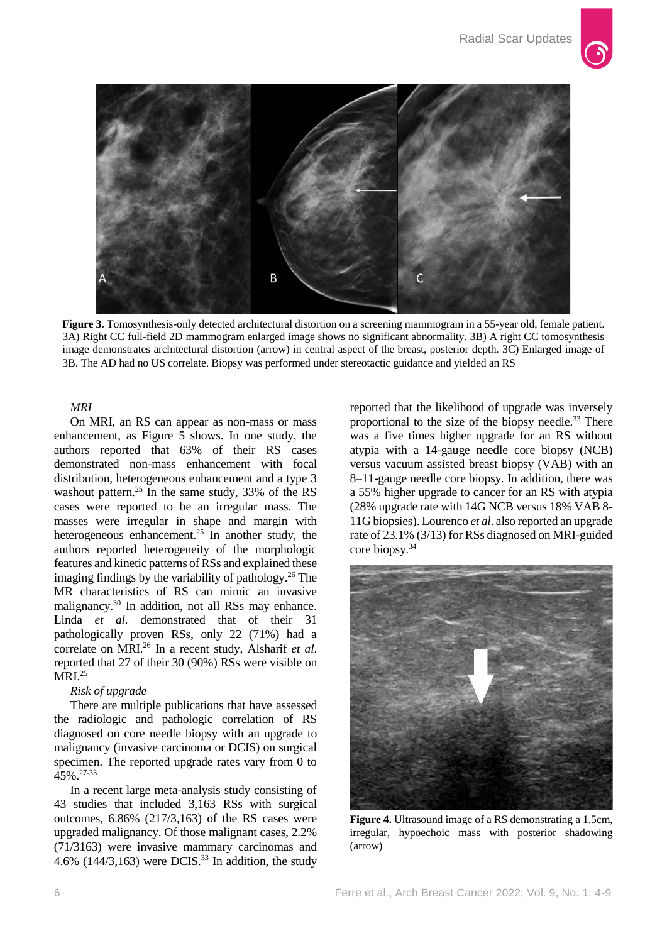

**Figure 3.** Tomosynthesis-only detected architectural distortion on a screening mammogram in a 55-year old, female patient. 3A) Right CC full-field 2D mammogram enlarged image shows no significant abnormality. 3B) A right CC tomosynthesis image demonstrates architectural distortion (arrow) in central aspect of the breast, posterior depth. 3C) Enlarged image of 3B. The AD had no US correlate. Biopsy was performed under stereotactic guidance and yielded an RS

# *MRI*

On MRI, an RS can appear as non-mass or mass enhancement, as Figure 5 shows. In one study, the authors reported that 63% of their RS cases demonstrated non-mass enhancement with focal distribution, heterogeneous enhancement and a type 3 washout pattern.<sup>25</sup> In the same study,  $33\%$  of the RS cases were reported to be an irregular mass. The masses were irregular in shape and margin with heterogeneous enhancement.<sup>25</sup> In another study, the authors reported heterogeneity of the morphologic features and kinetic patterns of RSs and explained these imaging findings by the variability of pathology.<sup>26</sup> The MR characteristics of RS can mimic an invasive malignancy.<sup>30</sup> In addition, not all RSs may enhance. Linda *et al.* demonstrated that of their 31 pathologically proven RSs, only 22 (71%) had a correlate on MRI.<sup>26</sup> In a recent study, Alsharif *et al*. reported that 27 of their 30 (90%) RSs were visible on  $\overline{MRI}$ <sup>25</sup>

# *Risk of upgrade*

There are multiple publications that have assessed the radiologic and pathologic correlation of RS diagnosed on core needle biopsy with an upgrade to malignancy (invasive carcinoma or DCIS) on surgical specimen. The reported upgrade rates vary from 0 to 45%.27-33

In a recent large meta-analysis study consisting of 43 studies that included 3,163 RSs with surgical outcomes, 6.86% (217/3,163) of the RS cases were upgraded malignancy. Of those malignant cases, 2.2% (71/3163) were invasive mammary carcinomas and 4.6% (144/3,163) were DCIS.<sup>33</sup> In addition, the study

reported that the likelihood of upgrade was inversely proportional to the size of the biopsy needle.<sup>33</sup> There was a five times higher upgrade for an RS without atypia with a 14-gauge needle core biopsy (NCB) versus vacuum assisted breast biopsy (VAB) with an 8–11-gauge needle core biopsy. In addition, there was a 55% higher upgrade to cancer for an RS with atypia (28% upgrade rate with 14G NCB versus 18% VAB 8- 11G biopsies). Lourenco *et al*. also reported an upgrade rate of 23.1% (3/13) for RSs diagnosed on MRI-guided core biopsy. 34



**Figure 4.** Ultrasound image of a RS demonstrating a 1.5cm, irregular, hypoechoic mass with posterior shadowing (arrow)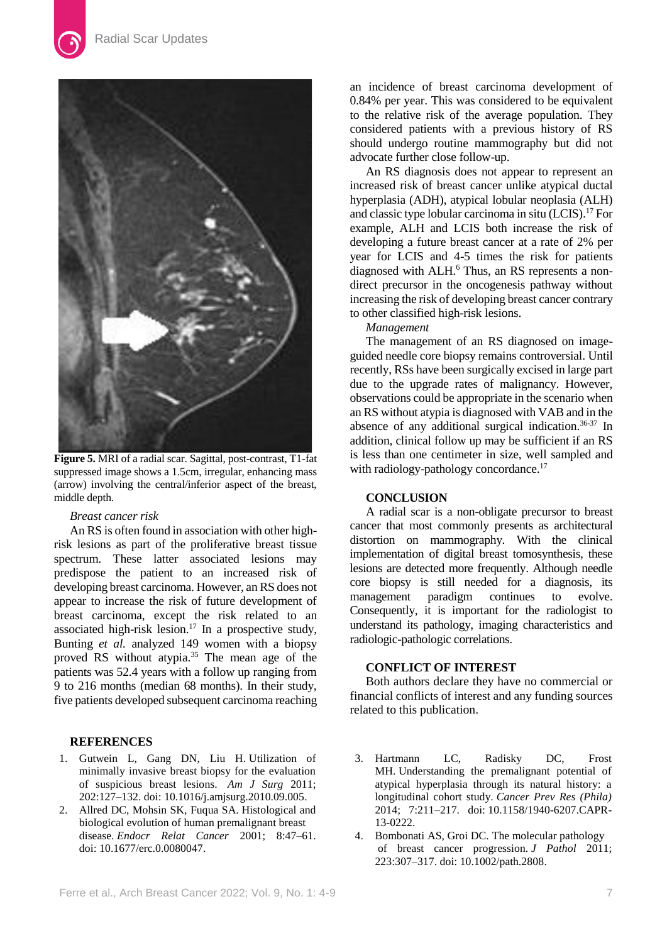

**Figure 5.** MRI of a radial scar. Sagittal, post-contrast, T1-fat suppressed image shows a 1.5cm, irregular, enhancing mass (arrow) involving the central/inferior aspect of the breast, middle depth.

#### *Breast cancer risk*

An RS is often found in association with other highrisk lesions as part of the proliferative breast tissue spectrum. These latter associated lesions may predispose the patient to an increased risk of developing breast carcinoma. However, an RS does not appear to increase the risk of future development of breast carcinoma, except the risk related to an associated high-risk lesion.<sup>17</sup> In a prospective study, Bunting *et al.* analyzed 149 women with a biopsy proved RS without atypia.<sup>35</sup> The mean age of the patients was 52.4 years with a follow up ranging from 9 to 216 months (median 68 months). In their study, five patients developed subsequent carcinoma reaching

# **REFERENCES**

- 1. Gutwein L, Gang DN, Liu H. Utilization of minimally invasive breast biopsy for the evaluation of suspicious breast lesions. *Am J Surg* 2011; 202:127–132. doi: [10.1016/j.amjsurg.2010.09.005.](https://doi.org/10.1016/j.amjsurg.2010.09.005)
- 2. Allred DC, Mohsin SK, Fuqua SA. Histological and biological evolution of human premalignant breast disease. *Endocr Relat Cancer* 2001; 8:47–61. doi: [10.1677/erc.0.0080047.](https://doi.org/10.1677/erc.0.0080047)

an incidence of breast carcinoma development of 0.84% per year. This was considered to be equivalent to the relative risk of the average population. They considered patients with a previous history of RS should undergo routine mammography but did not advocate further close follow-up.

An RS diagnosis does not appear to represent an increased risk of breast cancer unlike atypical ductal hyperplasia (ADH), atypical lobular neoplasia (ALH) and classic type lobular carcinoma in situ (LCIS).<sup>17</sup> For example, ALH and LCIS both increase the risk of developing a future breast cancer at a rate of 2% per year for LCIS and 4-5 times the risk for patients diagnosed with ALH.<sup>6</sup> Thus, an RS represents a nondirect precursor in the oncogenesis pathway without increasing the risk of developing breast cancer contrary to other classified high-risk lesions.

*Management*

The management of an RS diagnosed on imageguided needle core biopsy remains controversial. Until recently, RSs have been surgically excised in large part due to the upgrade rates of malignancy. However, observations could be appropriate in the scenario when an RS without atypia is diagnosed with VAB and in the absence of any additional surgical indication.36-37 In addition, clinical follow up may be sufficient if an RS is less than one centimeter in size, well sampled and with radiology-pathology concordance.<sup>17</sup>

# **CONCLUSION**

A radial scar is a non-obligate precursor to breast cancer that most commonly presents as architectural distortion on mammography. With the clinical implementation of digital breast tomosynthesis, these lesions are detected more frequently. Although needle core biopsy is still needed for a diagnosis, its management paradigm continues to evolve. Consequently, it is important for the radiologist to understand its pathology, imaging characteristics and radiologic-pathologic correlations.

# **CONFLICT OF INTEREST**

Both authors declare they have no commercial or financial conflicts of interest and any funding sources related to this publication.

- 3. Hartmann LC, Radisky DC, Frost MH. Understanding the premalignant potential of atypical hyperplasia through its natural history: a longitudinal cohort study. *Cancer Prev Res (Phila)*  2014; 7:211–217. doi: [10.1158/1940-6207.CAPR-](https://doi.org/10.1158/1940-6207.capr-13-0222)[13-0222.](https://doi.org/10.1158/1940-6207.capr-13-0222)
- 4. Bombonati AS, Groi DC. The molecular pathology of breast cancer progression. *J Pathol* 2011; 223:307–317. doi: [10.1002/path.2808.](https://doi.org/10.1002/path.2808)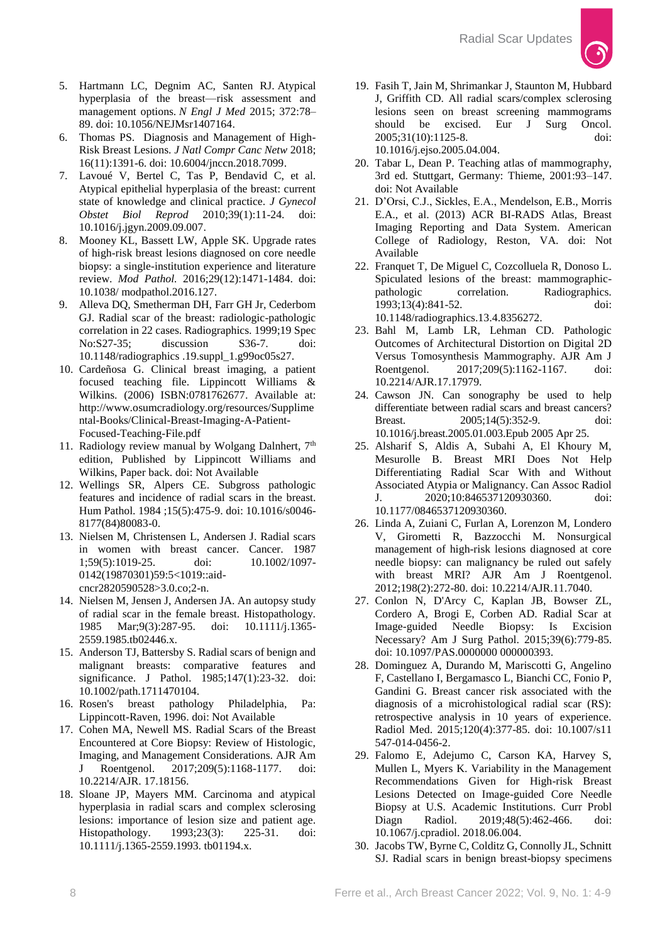

- 5. Hartmann LC, Degnim AC, Santen RJ. Atypical hyperplasia of the breast—risk assessment and management options. *N Engl J Med* 2015; 372:78– 89. doi: [10.1056/NEJMsr1407164.](https://doi.org/10.1056/nejmsr1407164)
- 6. Thomas PS. Diagnosis and Management of High-Risk Breast Lesions. *J Natl Compr Canc Netw* 2018; 16(11):1391-6. doi[: 10.6004/jnccn.2018.7099.](https://doi.org/10.6004/jnccn.2018.7099)
- 7. Lavoué V, Bertel C, Tas P, Bendavid C, et al. Atypical epithelial hyperplasia of the breast: current state of knowledge and clinical practice. *J Gynecol Obstet Biol Reprod* 2010;39(1):11-24. doi: [10.1016/j.jgyn.2009.09.007.](https://doi.org/10.1016/j.jgyn.2009.09.007)
- 8. Mooney KL, Bassett LW, Apple SK. Upgrade rates of high-risk breast lesions diagnosed on core needle biopsy: a single-institution experience and literature review. *Mod Pathol.* 2016;29(12):1471-1484. doi: 10.1038/ [modpathol.2016.127.](https://doi.org/10.1038/modpathol.2016.127)
- 9. Alleva DQ, Smetherman DH, Farr GH Jr, Cederbom GJ. Radial scar of the breast: radiologic-pathologic correlation in 22 cases. Radiographics. 1999;19 Spec No:S27-35; discussion S36-7. doi: 10.1148/radiographics .19.suppl\_1.g99oc05s27.
- 10. Cardeñosa G. Clinical breast imaging, a patient focused teaching file. Lippincott Williams & Wilkins. (2006) ISBN:0781762677. Available at: [http://www.osumcradiology.org/resources/Supplime](http://www.osumcradiology.org/resources/Supplimental-Books/Clinical-Breast-Imaging-A-Patient-Focused-Teaching-File.pdf) [ntal-Books/Clinical-Breast-Imaging-A-Patient-](http://www.osumcradiology.org/resources/Supplimental-Books/Clinical-Breast-Imaging-A-Patient-Focused-Teaching-File.pdf)[Focused-Teaching-File.pdf](http://www.osumcradiology.org/resources/Supplimental-Books/Clinical-Breast-Imaging-A-Patient-Focused-Teaching-File.pdf)
- 11. Radiology review manual by Wolgang Dalnhert, 7<sup>th</sup> edition, Published by Lippincott Williams and Wilkins, Paper back. doi: Not Available
- 12. Wellings SR, Alpers CE. Subgross pathologic features and incidence of radial scars in the breast. Hum Pathol. 1984 ;15(5):475-9. doi: 10.1016/s0046- 8177(84)80083-0.
- 13. Nielsen M, Christensen L, Andersen J. Radial scars in women with breast cancer. Cancer. 1987 1;59(5):1019-25. doi: 10.1002/1097- 0142(19870301)59:5<1019::aidcncr2820590528>3.0.co;2-n.
- 14. Nielsen M, Jensen J, Andersen JA. An autopsy study of radial scar in the female breast. Histopathology. 1985 Mar;9(3):287-95. doi: 10.1111/j.1365- 2559.1985.tb02446.x.
- 15. Anderson TJ, Battersby S. Radial scars of benign and malignant breasts: comparative features and significance. J Pathol. 1985;147(1):23-32. doi: 10.1002/path.1711470104.
- 16. Rosen's breast pathology Philadelphia, Pa: Lippincott-Raven, 1996. doi: Not Available
- 17. Cohen MA, Newell MS. Radial Scars of the Breast Encountered at Core Biopsy: Review of Histologic, Imaging, and Management Considerations. AJR Am J Roentgenol. 2017;209(5):1168-1177. doi: 10.2214/AJR. 17.18156.
- 18. Sloane JP, Mayers MM. Carcinoma and atypical hyperplasia in radial scars and complex sclerosing lesions: importance of lesion size and patient age. Histopathology. 1993;23(3): 225-31. doi: 10.1111/j.1365-2559.1993. tb01194.x.
- 19. Fasih T, Jain M, Shrimankar J, Staunton M, Hubbard J, Griffith CD. All radial scars/complex sclerosing lesions seen on breast screening mammograms should be excised. Eur J Surg Oncol. 2005;31(10):1125-8. doi: 10.1016/j.ejso.2005.04.004.
- 20. Tabar L, Dean P. Teaching atlas of mammography, 3rd ed. Stuttgart, Germany: Thieme, 2001:93–147. doi: Not Available
- 21. D'Orsi, C.J., Sickles, E.A., Mendelson, E.B., Morris E.A., et al. (2013) ACR BI-RADS Atlas, Breast Imaging Reporting and Data System. American College of Radiology, Reston, VA. doi: Not Available
- 22. Franquet T, De Miguel C, Cozcolluela R, Donoso L. Spiculated lesions of the breast: mammographicpathologic correlation. Radiographics. 1993;13(4):841-52. doi: 10.1148/radiographics.13.4.8356272.
- 23. Bahl M, Lamb LR, Lehman CD. Pathologic Outcomes of Architectural Distortion on Digital 2D Versus Tomosynthesis Mammography. AJR Am J Roentgenol. 2017;209(5):1162-1167. doi: 10.2214/AJR.17.17979.
- 24. Cawson JN. Can sonography be used to help differentiate between radial scars and breast cancers? Breast. 2005;14(5):352-9. doi: 10.1016/j.breast.2005.01.003.Epub 2005 Apr 25.
- 25. Alsharif S, Aldis A, Subahi A, El Khoury M, Mesurolle B. Breast MRI Does Not Help Differentiating Radial Scar With and Without Associated Atypia or Malignancy. Can Assoc Radiol J. 2020;10:846537120930360. doi: 10.1177/0846537120930360.
- 26. Linda A, Zuiani C, Furlan A, Lorenzon M, Londero V, Girometti R, Bazzocchi M. Nonsurgical management of high-risk lesions diagnosed at core needle biopsy: can malignancy be ruled out safely with breast MRI? AJR Am J Roentgenol. 2012;198(2):272-80. doi: 10.2214/AJR.11.7040.
- 27. Conlon N, D'Arcy C, Kaplan JB, Bowser ZL, Cordero A, Brogi E, Corben AD. Radial Scar at Image-guided Needle Biopsy: Is Excision Necessary? Am J Surg Pathol. 2015;39(6):779-85. doi: 10.1097/PAS.0000000 000000393.
- 28. Dominguez A, Durando M, Mariscotti G, Angelino F, Castellano I, Bergamasco L, Bianchi CC, Fonio P, Gandini G. Breast cancer risk associated with the diagnosis of a microhistological radial scar (RS): retrospective analysis in 10 years of experience. Radiol Med. 2015;120(4):377-85. doi: 10.1007/s11 547-014-0456-2.
- 29. Falomo E, Adejumo C, Carson KA, Harvey S, Mullen L, Myers K. Variability in the Management Recommendations Given for High-risk Breast Lesions Detected on Image-guided Core Needle Biopsy at U.S. Academic Institutions. Curr Probl Diagn Radiol. 2019;48(5):462-466. doi: 10.1067/j.cpradiol. 2018.06.004.
- 30. Jacobs TW, Byrne C, Colditz G, Connolly JL, Schnitt SJ. Radial scars in benign breast-biopsy specimens